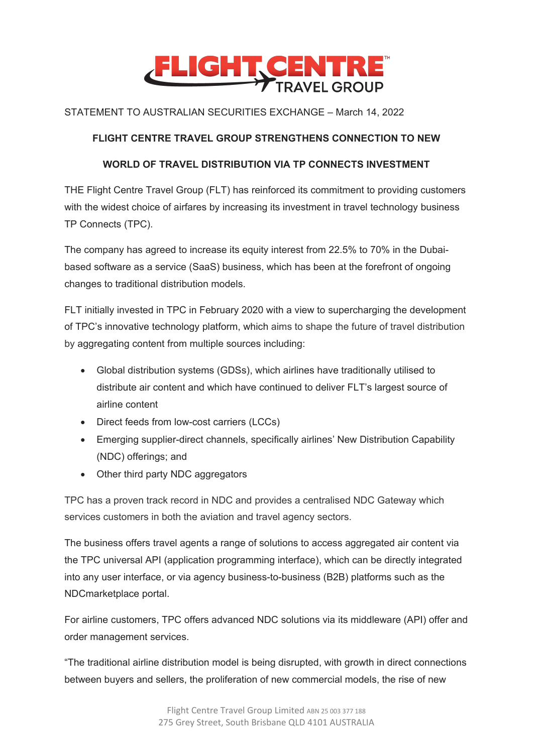

## STATEMENT TO AUSTRALIAN SECURITIES EXCHANGE – March 14, 2022

## **FLIGHT CENTRE TRAVEL GROUP STRENGTHENS CONNECTION TO NEW**

## **WORLD OF TRAVEL DISTRIBUTION VIA TP CONNECTS INVESTMENT**

THE Flight Centre Travel Group (FLT) has reinforced its commitment to providing customers with the widest choice of airfares by increasing its investment in travel technology business TP Connects (TPC).

The company has agreed to increase its equity interest from 22.5% to 70% in the Dubaibased software as a service (SaaS) business, which has been at the forefront of ongoing changes to traditional distribution models.

FLT initially invested in TPC in February 2020 with a view to supercharging the development of TPC's innovative technology platform, which aims to shape the future of travel distribution by aggregating content from multiple sources including:

- Global distribution systems (GDSs), which airlines have traditionally utilised to distribute air content and which have continued to deliver FLT's largest source of airline content
- Direct feeds from low-cost carriers (LCCs)
- Emerging supplier-direct channels, specifically airlines' New Distribution Capability (NDC) offerings; and
- Other third party NDC aggregators

TPC has a proven track record in NDC and provides a centralised NDC Gateway which services customers in both the aviation and travel agency sectors.

The business offers travel agents a range of solutions to access aggregated air content via the TPC universal API (application programming interface), which can be directly integrated into any user interface, or via agency business-to-business (B2B) platforms such as the NDCmarketplace portal.

For airline customers, TPC offers advanced NDC solutions via its middleware (API) offer and order management services.

"The traditional airline distribution model is being disrupted, with growth in direct connections between buyers and sellers, the proliferation of new commercial models, the rise of new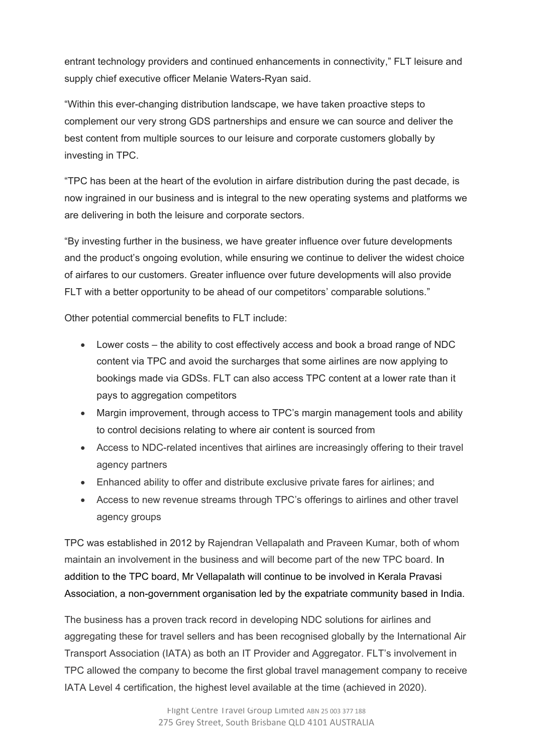entrant technology providers and continued enhancements in connectivity," FLT leisure and supply chief executive officer Melanie Waters-Ryan said.

"Within this ever-changing distribution landscape, we have taken proactive steps to complement our very strong GDS partnerships and ensure we can source and deliver the best content from multiple sources to our leisure and corporate customers globally by investing in TPC.

"TPC has been at the heart of the evolution in airfare distribution during the past decade, is now ingrained in our business and is integral to the new operating systems and platforms we are delivering in both the leisure and corporate sectors.

"By investing further in the business, we have greater influence over future developments and the product's ongoing evolution, while ensuring we continue to deliver the widest choice of airfares to our customers. Greater influence over future developments will also provide FLT with a better opportunity to be ahead of our competitors' comparable solutions."

Other potential commercial benefits to FLT include:

- Lower costs the ability to cost effectively access and book a broad range of NDC content via TPC and avoid the surcharges that some airlines are now applying to bookings made via GDSs. FLT can also access TPC content at a lower rate than it pays to aggregation competitors
- Margin improvement, through access to TPC's margin management tools and ability to control decisions relating to where air content is sourced from
- Access to NDC-related incentives that airlines are increasingly offering to their travel agency partners
- Enhanced ability to offer and distribute exclusive private fares for airlines; and
- Access to new revenue streams through TPC's offerings to airlines and other travel agency groups

TPC was established in 2012 by Rajendran Vellapalath and Praveen Kumar, both of whom maintain an involvement in the business and will become part of the new TPC board. In addition to the TPC board, Mr Vellapalath will continue to be involved in Kerala Pravasi Association, a non-government organisation led by the expatriate community based in India.

The business has a proven track record in developing NDC solutions for airlines and aggregating these for travel sellers and has been recognised globally by the International Air Transport Association (IATA) as both an IT Provider and Aggregator. FLT's involvement in TPC allowed the company to become the first global travel management company to receive IATA Level 4 certification, the highest level available at the time (achieved in 2020).